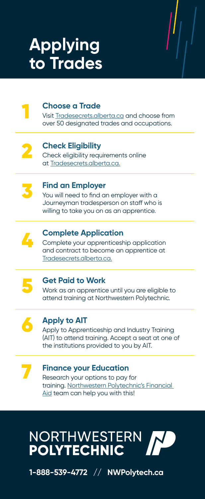# **Applying to Trades**



## **Choose a Trade**

Visit Tradesecrets.alberta.ca and choose from over 50 designated trades and occupations.



### **Check Eligibility**

Check eligibility requirements online at Tradesecrets.alberta.ca.



## **Find an Employer**

You will need to find an employer with a Journeyman tradesperson on staff who is willing to take you on as an apprentice.



# **Complete Application**

Complete your apprenticeship application and contract to become an apprentice at Tradesecrets.alberta.ca.



# **Get Paid to Work**

Work as an apprentice until you are eligible to attend training at Northwestern Polytechnic.



# **Apply to AIT**

Apply to Apprenticeship and Industry Training (AIT) to attend training. Accept a seat at one of the institutions provided to you by AIT.



# **Finance your Education**

Research your options to pay for training. Northwestern Polytechnic's Financial Aid team can help you with this!



**1-888-539-4772 // NWPolytech.ca**